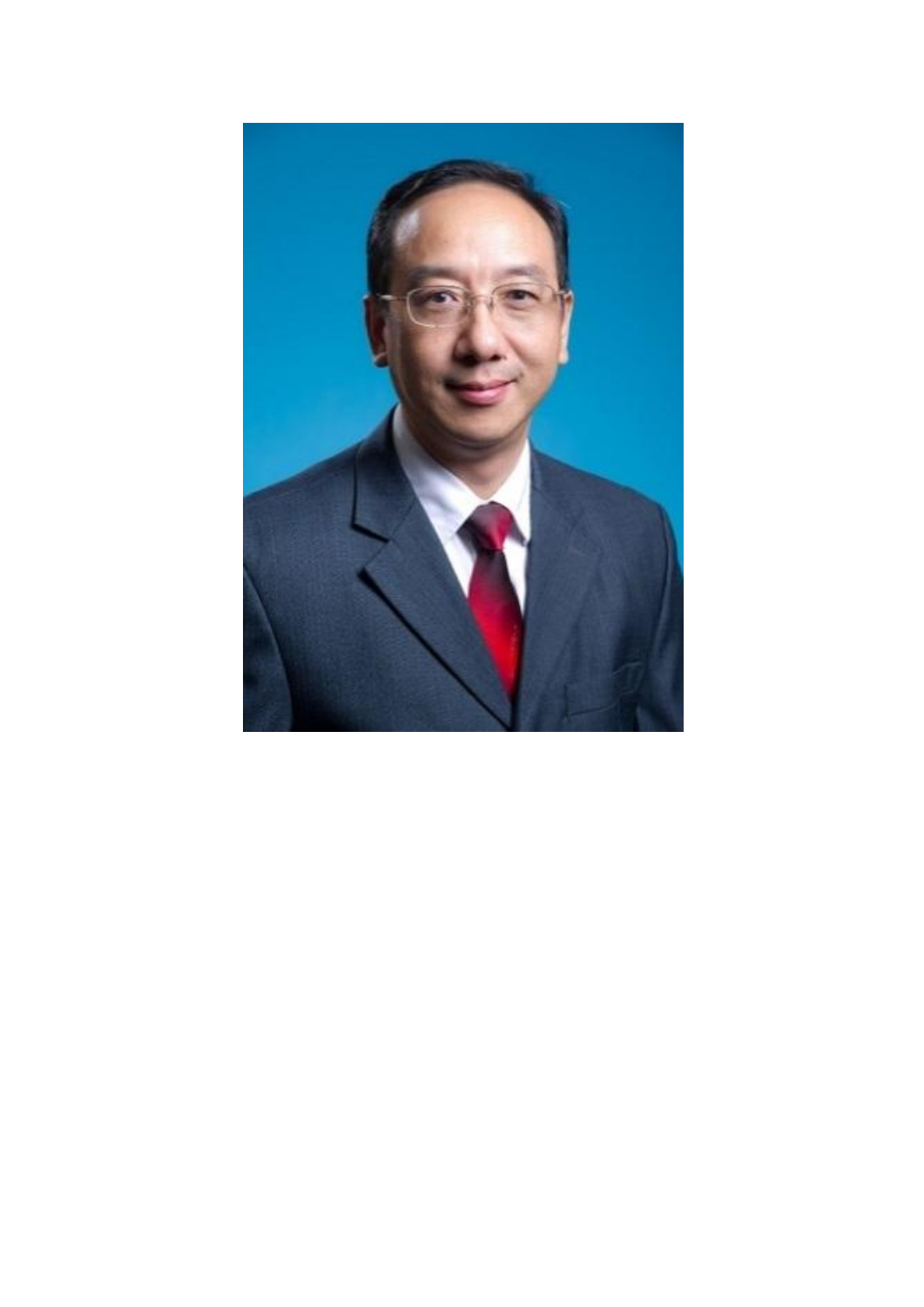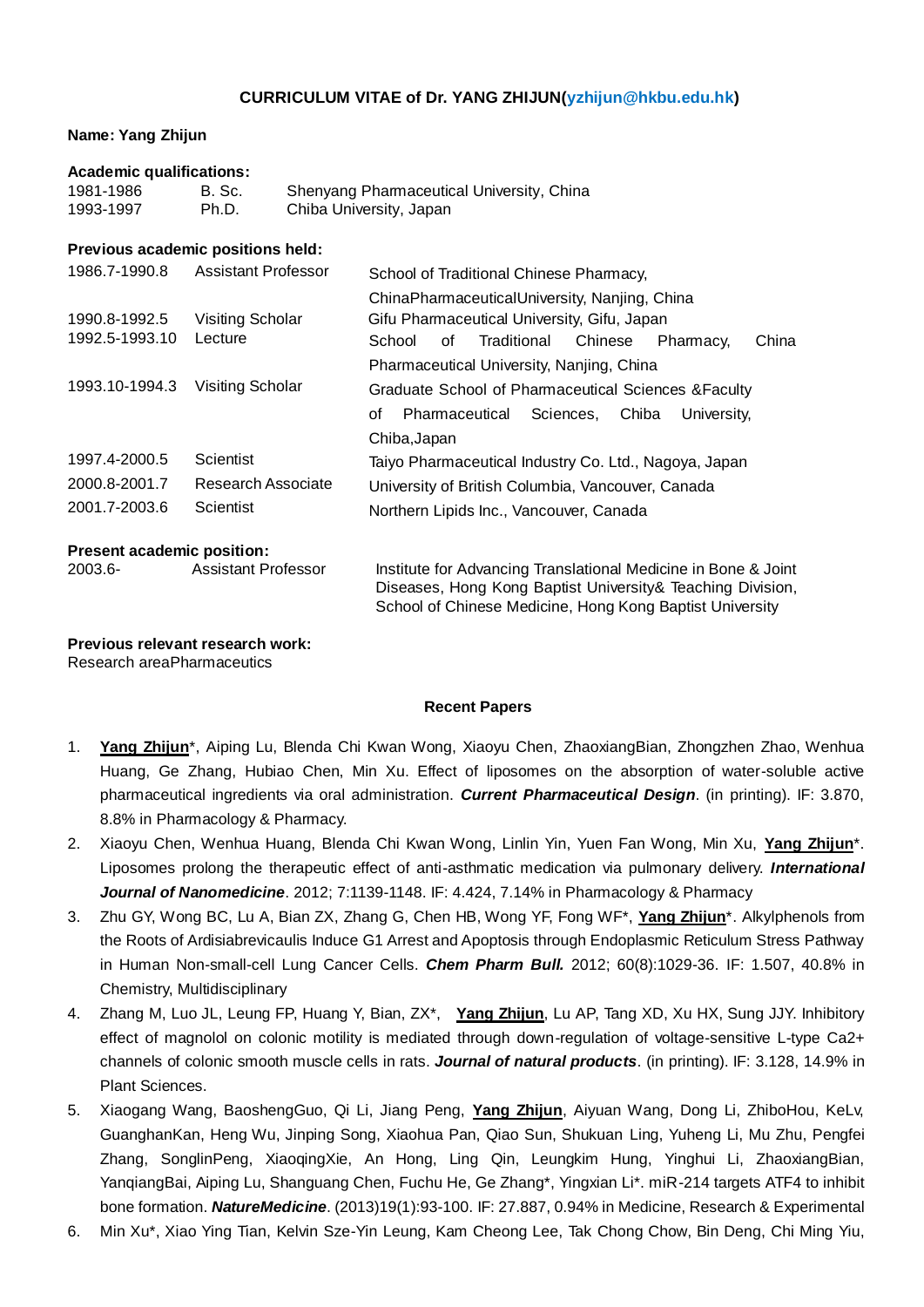## **CURRICULUM VITAE of Dr. YANG ZHIJUN[\(yzhijun@hkbu.edu.hk\)](mailto:yzhijun@hkbu.edu.hk)**

### **Name: Yang Zhijun**

#### **Academic qualifications:** 1981-1986 B. Sc. Shenyang Pharmaceutical University, China 1993-1997 Ph.D. Chiba University, Japan

### **Previous academic positions held:**

| 1986.7-1990.8                     | Assistant Professor        | School of Traditional Chinese Pharmacy,                        |
|-----------------------------------|----------------------------|----------------------------------------------------------------|
|                                   |                            | ChinaPharmaceuticalUniversity, Nanjing, China                  |
| 1990.8-1992.5                     | Visiting Scholar           | Gifu Pharmaceutical University, Gifu, Japan                    |
| 1992.5-1993.10                    | Lecture                    | China<br>Traditional<br>Chinese<br>School<br>οf<br>Pharmacy,   |
|                                   |                            | Pharmaceutical University, Nanjing, China                      |
| 1993.10-1994.3                    | Visiting Scholar           | Graduate School of Pharmaceutical Sciences & Faculty           |
|                                   |                            | Sciences,<br>Pharmaceutical<br>Chiba<br>University.<br>οf      |
|                                   |                            | Chiba, Japan                                                   |
| 1997.4-2000.5                     | Scientist                  | Taiyo Pharmaceutical Industry Co. Ltd., Nagoya, Japan          |
| 2000.8-2001.7                     | Research Associate         | University of British Columbia, Vancouver, Canada              |
| 2001.7-2003.6                     | Scientist                  | Northern Lipids Inc., Vancouver, Canada                        |
| <b>Present academic position:</b> |                            |                                                                |
| 2003.6-                           | <b>Assistant Professor</b> | Institute for Advancing Translational Medicine in Bone & Joint |

Diseases, Hong Kong Baptist University& Teaching Division, School of Chinese Medicine, Hong Kong Baptist University

# **Previous relevant research work:**

Research areaPharmaceutics

#### **Recent Papers**

- 1. **Yang Zhijun**\*, Aiping Lu, Blenda Chi Kwan Wong, Xiaoyu Chen, ZhaoxiangBian, Zhongzhen Zhao, Wenhua Huang, Ge Zhang, Hubiao Chen, Min Xu. Effect of liposomes on the absorption of water-soluble active pharmaceutical ingredients via oral administration. *Current Pharmaceutical Design*. (in printing). IF: 3.870, 8.8% in Pharmacology & Pharmacy.
- 2. Xiaoyu Chen, Wenhua Huang, Blenda Chi Kwan Wong, Linlin Yin, Yuen Fan Wong, Min Xu, **Yang Zhijun**\*. Liposomes prolong the therapeutic effect of anti-asthmatic medication via pulmonary delivery. *International Journal of Nanomedicine*. 2012; 7:1139-1148. IF: 4.424, 7.14% in Pharmacology & Pharmacy
- 3. Zhu GY, Wong BC, Lu A, Bian ZX, Zhang G, Chen HB, Wong YF, Fong WF\*, **Yang Zhijun**\*. Alkylphenols from the Roots of Ardisiabrevicaulis Induce G1 Arrest and Apoptosis through Endoplasmic Reticulum Stress Pathway in Human Non-small-cell Lung Cancer Cells. *Chem Pharm Bull.* 2012; 60(8):1029-36. IF: 1.507, 40.8% in Chemistry, Multidisciplinary
- 4. Zhang M, Luo JL, Leung FP, Huang Y, Bian, ZX\*, **Yang Zhijun**, Lu AP, Tang XD, Xu HX, Sung JJY. Inhibitory effect of magnolol on colonic motility is mediated through down-regulation of voltage-sensitive L-type Ca2+ channels of colonic smooth muscle cells in rats. *Journal of natural products*. (in printing). IF: 3.128, 14.9% in Plant Sciences.
- 5. Xiaogang Wang, BaoshengGuo, Qi Li, Jiang Peng, **Yang Zhijun**, Aiyuan Wang, Dong Li, ZhiboHou, KeLv, GuanghanKan, Heng Wu, Jinping Song, Xiaohua Pan, Qiao Sun, Shukuan Ling, Yuheng Li, Mu Zhu, Pengfei Zhang, SonglinPeng, XiaoqingXie, An Hong, Ling Qin, Leungkim Hung, Yinghui Li, ZhaoxiangBian, YanqiangBai, Aiping Lu, Shanguang Chen, Fuchu He, Ge Zhang\*, Yingxian Li\*. miR-214 targets ATF4 to inhibit bone formation. *NatureMedicine*. (2013)19(1):93-100. IF: 27.887, 0.94% in Medicine, Research & Experimental
- 6. Min Xu\*, Xiao Ying Tian, Kelvin Sze-Yin Leung, Kam Cheong Lee, Tak Chong Chow, Bin Deng, Chi Ming Yiu,